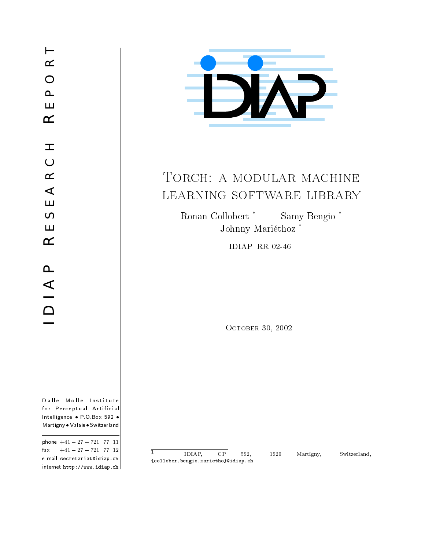

# TORCH: A MODULAR MACHINE LEARNING SOFTWARE LIBRARY

Samy Bengio<sup>\*</sup> Ronan Collobert $^\ast$ Johnny Mariéthoz<sup>\*</sup>

IDIAP-RR  $02-46$ 

OCTOBER 30, 2002

Dalle Molle Institute for Perceptual Artificial Intelligence . P.O. Box 592 . Martigny . Valais . Switzerland

|                              | phone $+41 - 27 - 721$ 77 11        |  |
|------------------------------|-------------------------------------|--|
|                              | $\text{fax}$ $+41 - 27 - 721$ 77 12 |  |
|                              | e-mail secretariat@idiap.ch         |  |
| internet http://www.idiap.ch |                                     |  |

 $\overline{1}$  $CP$ IDIAP, 592, {collober, bengio, marietho}@idiap.ch

1920 Martigny, Switzerland,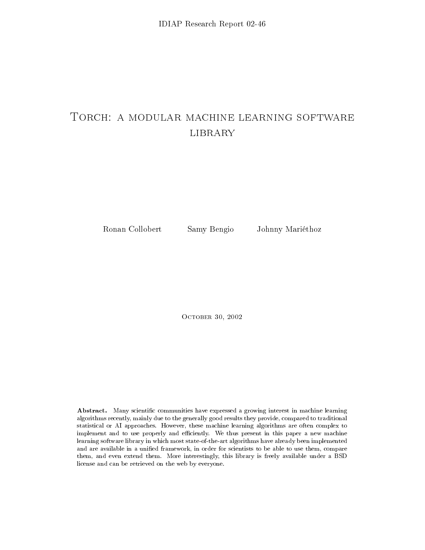## TORCH: A MODULAR MACHINE LEARNING SOFTWARE LIBRARY

Ronan Collobert

Samy Bengio

Johnny Mariéthoz

OCTOBER 30, 2002

Abstract. Many scientific communities have expressed a growing interest in machine learning algorithms recently, mainly due to the generally good results they provide, compared to traditional statistical or AI approaches. However, these machine learning algorithms are often complex to implement and to use properly and efficiently. We thus present in this paper a new machine learning software library in which most state-of-the-art algorithms have already been implemented and are available in a unified framework, in order for scientists to be able to use them, compare them, and even extend them. More interestingly, this library is freely available under a BSD license and can be retrieved on the web by everyone.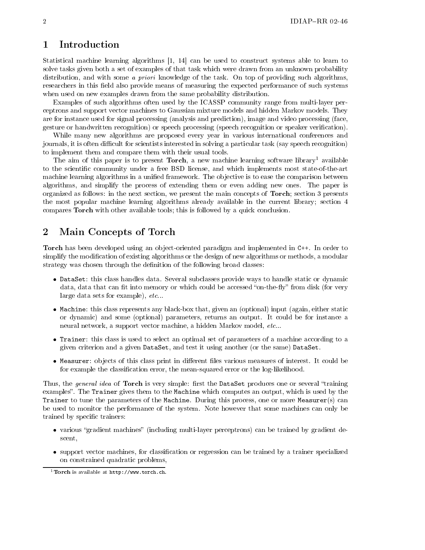#### Introduction  $\mathbf 1$

Statistical machine learning algorithms [1, 14] can be used to construct systems able to learn to solve tasks given both a set of examples of that task which were drawn from an unknown probability distribution, and with some a priori knowledge of the task. On top of providing such algorithms, researchers in this field also provide means of measuring the expected performance of such systems when used on new examples drawn from the same probability distribution.

Examples of such algorithms often used by the ICASSP community range from multi-layer perceptrons and support vector machines to Gaussian mixture models and hidden Markov models. They are for instance used for signal processing (analysis and prediction), image and video processing (face, gesture or handwritten recognition) or speech processing (speech recognition or speaker verification).

While many new algorithms are proposed every year in various international conferences and journals, it is often difficult for scientists interested in solving a particular task (say speech recognition) to implement them and compare them with their usual tools.

The aim of this paper is to present **Torch**, a new machine learning software library<sup>1</sup> available to the scientific community under a free BSD license, and which implements most state-of-the-art machine learning algorithms in a unified framework. The objective is to ease the comparison between algorithms, and simplify the process of extending them or even adding new ones. The paper is organized as follows: in the next section, we present the main concepts of Torch; section 3 presents the most popular machine learning algorithms already available in the current library; section 4 compares Torch with other available tools; this is followed by a quick conclusion.

#### $\overline{2}$ Main Concepts of Torch

Torch has been developed using an object-oriented paradigm and implemented in C++. In order to simplify the modification of existing algorithms or the design of new algorithms or methods, a modular strategy was chosen through the definition of the following broad classes:

- DataSet: this class handles data. Several subclasses provide ways to handle static or dynamic data, data that can fit into memory or which could be accessed "on-the-fly" from disk (for very large data sets for example),  $etc...$
- Machine: this class represents any black-box that, given an (optional) input (again, either static or dynamic) and some (optional) parameters, returns an output. It could be for instance a neural network, a support vector machine, a hidden Markov model, etc...
- Trainer: this class is used to select an optimal set of parameters of a machine according to a given criterion and a given DataSet, and test it using another (or the same) DataSet.
- Measurer: objects of this class print in different files various measures of interest. It could be for example the classification error, the mean-squared error or the log-likelihood.

Thus, the *general idea* of **Torch** is very simple: first the DataSet produces one or several "training" examples". The Trainer gives them to the Machine which computes an output, which is used by the Trainer to tune the parameters of the Machine. During this process, one or more Measurer(s) can be used to monitor the performance of the system. Note however that some machines can only be trained by specific trainers:

- various "gradient machines" (including multi-layer perceptrons) can be trained by gradient descent,
- support vector machines, for classification or regression can be trained by a trainer specialized on constrained quadratic problems,

<sup>&</sup>lt;sup>1</sup>Torch is available at  $http://www.torch.ch.$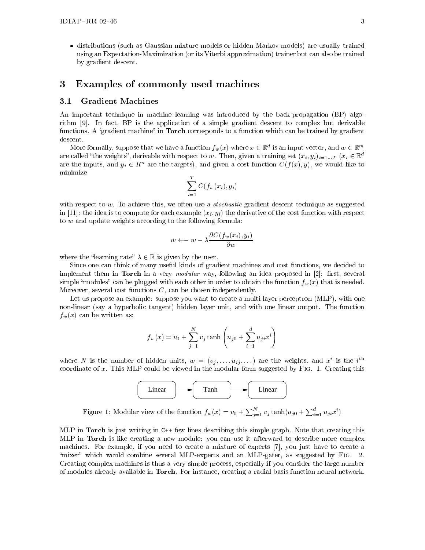• distributions (such as Gaussian mixture models or hidden Markov models) are usually trained using an Expectation-Maximization (or its Viterbi approximation) trainer but can also be trained by gradient descent.

#### Examples of commonly used machines 3

#### **Gradient Machines**  $3.1$

An important technique in machine learning was introduced by the back-propagation (BP) algorithm [9]. In fact, BP is the application of a simple gradient descent to complex but derivable functions. A 'gradient machine' in **Torch** corresponds to a function which can be trained by gradient descent.

More formally, suppose that we have a function  $f_w(x)$  where  $x \in \mathbb{R}^d$  is an input vector, and  $w \in \mathbb{R}^m$ are called "the weights", derivable with respect to w. Then, given a training set  $(x_i, y_i)_{i=1...T}$   $(x_i \in \mathbb{R}^d)$ are the inputs, and  $y_i \in \mathbb{R}^n$  are the targets), and given a cost function  $C(f(x), y)$ , we would like to minimize

$$
\sum_{i=1}^{T} C(f_w(x_i), y_i)
$$

with respect to  $w$ . To achieve this, we often use a *stochastic* gradient descent technique as suggested in [11]: the idea is to compute for each example  $(x_i, y_i)$  the derivative of the cost function with respect to  $w$  and update weights according to the following formula:

$$
w \longleftarrow w - \lambda \frac{\partial C(f_w(x_i), y_i)}{\partial w}
$$

where the "learning rate"  $\lambda \in \mathbb{R}$  is given by the user.

Since one can think of many useful kinds of gradient machines and cost functions, we decided to implement them in Torch in a very *modular* way, following an idea proposed in  $[2]$ : first, several simple "modules" can be plugged with each other in order to obtain the function  $f_w(x)$  that is needed. Moreover, several cost functions  $C$ , can be chosen independently.

Let us propose an example: suppose you want to create a multi-layer perceptron (MLP), with one non-linear (say a hyperbolic tangent) hidden layer unit, and with one linear output. The function  $f_w(x)$  can be written as:

$$
f_w(x) = v_0 + \sum_{j=1}^{N} v_j \tanh\left(u_{j0} + \sum_{i=1}^{d} u_{ji}x^i\right)
$$

where N is the number of hidden units,  $w = (v_j, \ldots, u_{ij}, \ldots)$  are the weights, and  $x^i$  is the  $i^{\text{th}}$ coordinate of x. This MLP could be viewed in the modular form suggested by FIG. 1. Creating this



Figure 1: Modular view of the function  $f_w(x) = v_0 + \sum_{j=1}^{N} v_j \tanh(u_{j0} + \sum_{i=1}^{d} u_{ji}x^i)$ 

MLP in Torch is just writing in C++ few lines describing this simple graph. Note that creating this MLP in Torch is like creating a new module: you can use it afterward to describe more complex machines. For example, if you need to create a mixture of experts [7], you just have to create a "mixer" which would combine several MLP-experts and an MLP-gater, as suggested by FIG. 2. Creating complex machines is thus a very simple process, especially if you consider the large number of modules already available in Torch. For instance, creating a radial basis function neural network,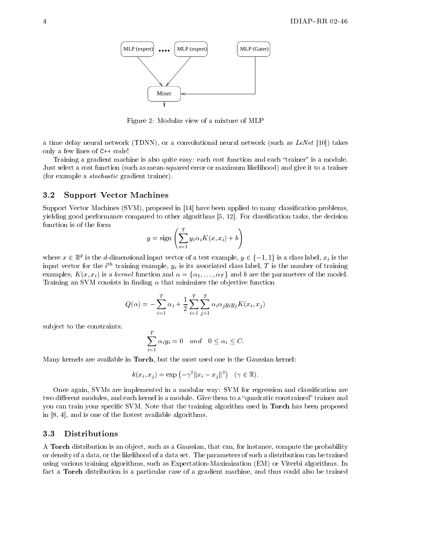

Figure 2: Modular view of a mixture of MLP

a time delay neural network (TDNN), or a convolutional neural network (such as LeNet [10]) takes only a few lines of C++ code!

Training a gradient machine is also quite easy: each cost function and each "trainer" is a module. Just select a cost function (such as mean-squared error or maximum likelihood) and give it to a trainer (for example a *stochastic* gradient trainer).

#### 3.2 **Support Vector Machines**

Support Vector Machines (SVM), proposed in [14] have been applied to many classification problems, yielding good performance compared to other algorithms [5, 12]. For classification tasks, the decision function is of the form

$$
y = sign\left(\sum_{i=1}^{T} y_i \alpha_i K(x, x_i) + b\right)
$$

where  $x \in \mathbb{R}^d$  is the d-dimensional input vector of a test example,  $y \in \{-1,1\}$  is a class label,  $x_i$  is the input vector for the  $i^{\text{th}}$  training example,  $y_i$  is its associated class label, T is the number of training examples,  $K(x, x_i)$  is a kernel function and  $\alpha = {\alpha_1, \ldots, \alpha_T}$  and b are the parameters of the model. Training an SVM consists in finding  $\alpha$  that minimizes the objective function

$$
Q(\alpha) = -\sum_{i=1}^{T} \alpha_i + \frac{1}{2} \sum_{i=1}^{T} \sum_{j=1}^{T} \alpha_i \alpha_j y_i y_j K(x_i, x_j)
$$

subject to the constraints:

$$
\sum_{i=1}^{T} \alpha_i y_i = 0 \quad and \quad 0 \le \alpha_i \le C.
$$

Many kernels are available in Torch, but the most used one is the Gaussian kernel:

$$
k(x_i, x_j) = \exp(-\gamma^2 ||x_i - x_j||^2) \quad (\gamma \in \mathbb{R}).
$$

Once again, SVMs are implemented in a modular way: SVM for regression and classification are two different modules, and each kernel is a module. Give them to a "quadratic constrained" trainer and you can train your specific SVM. Note that the training algorithm used in **Torch** has been proposed in  $[8, 4]$ , and is one of the fastest available algorithms.

#### **Distributions**  $3.3$

A Torch distribution is an object, such as a Gaussian, that can, for instance, compute the probability or density of a data, or the likelihood of a data set. The parameters of such a distribution can be trained using various training algorithms, such as Expectation-Maximization (EM) or Viterbi algorithms. In fact a Torch distribution is a particular case of a gradient machine, and thus could also be trained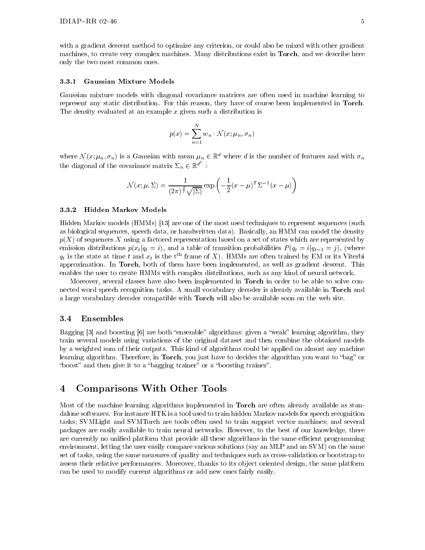with a gradient descent method to optimize any criterion, or could also be mixed with other gradient machines, to create very complex machines. Many distributions exist in Torch, and we describe here only the two most common ones.

#### **Gaussian Mixture Models** 3.3.1

Gaussian mixture models with diagonal covariance matrices are often used in machine learning to represent any static distribution. For this reason, they have of course been implemented in Torch. The density evaluated at an example  $x$  given such a distribution is

$$
p(x) = \sum_{n=1}^{N} w_n \cdot \mathcal{N}(x; \mu_n, \sigma_n)
$$

where  $\mathcal{N}(x; \mu_n, \sigma_n)$  is a Gaussian with mean  $\mu_n \in \mathbb{R}^d$  where d is the number of features and with  $\sigma_n$ the diagonal of the covariance matrix  $\Sigma_n \in \mathbb{R}^{d^2}$ :

$$
\mathcal{N}(x; \mu, \Sigma) = \frac{1}{(2\pi)^{\frac{d}{2}}\sqrt{|\Sigma|}} \exp\left(-\frac{1}{2}(x-\mu)^T \Sigma^{-1} (x-\mu)\right)
$$

#### 3.3.2 **Hidden Markov Models**

Hidden Markov models (HMMs) [13] are one of the most used techniques to represent sequences (such as biological sequences, speech data, or handwritten data). Basically, an HMM can model the density  $p(X)$  of sequences X using a factored representation based on a set of states which are represented by emission distributions  $p(x_t|q_t = i)$ , and a table of transition probabilities  $P(q_t = i|q_{t-1} = j)$ , (where  $q_t$  is the state at time  $t$  and  $x_t$  is the t<sup>th</sup> frame of X). HMMs are often trained by EM or its Viterbi approximation. In Torch, both of them have been implemented, as well as gradient descent. This enables the user to create HMMs with complex distributions, such as any kind of neural network.

Moreover, several classes have also been implemented in Torch in order to be able to solve connected word speech recognition tasks. A small vocabulary decoder is already available in Torch and a large vocabulary decoder compatible with Torch will also be available soon on the web site.

#### Ensembles  $3.4$

Bagging [3] and boosting [6] are both "ensemble" algorithms: given a "weak" learning algorithm, they train several models using variations of the original dataset and then combine the obtained models by a weighted sum of their outputs. This kind of algorithms could be applied on almost any machine learning algorithm. Therefore, in **Torch**, you just have to decides the algorithm you want to "bag" or "boost" and then give it to a "bagging trainer" or a "boosting trainer".

#### $\overline{\mathbf{4}}$ Comparisons With Other Tools

Most of the machine learning algorithms implemented in Torch are often already available as standalone softwares. For instance HTK is a tool used to train hidden Markov models for speech recognition tasks; SVMLight and SVMTorch are tools often used to train support vector machines; and several packages are easily available to train neural networks. However, to the best of our knowledge, there are currently no unified platform that provide all these algorithms in the same efficient programming environment, letting the user easily compare various solutions (say an MLP and an SVM) on the same set of tasks, using the same measures of quality and techniques such as cross-validation or bootstrap to assess their relative performances. Moreover, thanks to its object oriented design, the same platform can be used to modify current algorithms or add new ones fairly easily.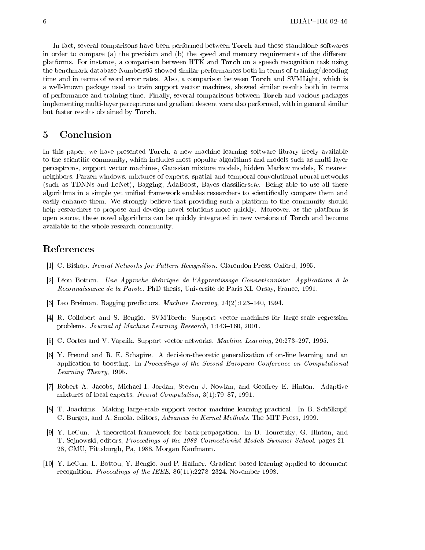In fact, several comparisons have been performed between **Torch** and these standalone softwares in order to compare (a) the precision and (b) the speed and memory requirements of the different platforms. For instance, a comparison between HTK and **Torch** on a speech recognition task using the benchmark database Numbers95 showed similar performances both in terms of training/decoding time and in terms of word error rates. Also, a comparison between **Torch** and SVMLight, which is a well-known package used to train support vector machines, showed similar results both in terms of performance and training time. Finally, several comparisons between Torch and various packages implementing multi-layer perceptrons and gradient descent were also performed, with in general similar but faster results obtained by Torch.

#### $\overline{5}$ Conclusion

In this paper, we have presented Torch, a new machine learning software library freely available to the scientific community, which includes most popular algorithms and models such as multi-layer perceptrons, support vector machines, Gaussian mixture models, hidden Markov models, K nearest neighbors, Parzen windows, mixtures of experts, spatial and temporal convolutional neural networks (such as TDNNs and LeNet), Bagging, AdaBoost, Bayes classifiers etc. Being able to use all these algorithms in a simple yet unified framework enables researchers to scientifically compare them and easily enhance them. We strongly believe that providing such a platform to the community should help researchers to propose and develop novel solutions more quickly. Moreover, as the platform is open source, these novel algorithms can be quickly integrated in new versions of Torch and become available to the whole research community.

### References

- [1] C. Bishop. Neural Networks for Pattern Recognition. Clarendon Press, Oxford, 1995.
- [2] Léon Bottou. Une Approche théorique de l'Apprentissage Connexionniste: Applications à la Reconnaissance de la Parole. PhD thesis, Université de Paris XI, Orsay, France, 1991.
- [3] Leo Breiman. Bagging predictors. Machine Learning, 24(2):123-140, 1994.
- [4] R. Collobert and S. Bengio. SVMTorch: Support vector machines for large-scale regression problems. *Journal of Machine Learning Research*, 1:143-160, 2001.
- [5] C. Cortes and V. Vapnik. Support vector networks. Machine Learning, 20:273-297, 1995.
- [6] Y. Freund and R. E. Schapire. A decision-theoretic generalization of on-line learning and an application to boosting. In Proceedings of the Second European Conference on Computational Learning Theory, 1995.
- [7] Robert A. Jacobs, Michael I. Jordan, Steven J. Nowlan, and Geoffrey E. Hinton. Adaptive mixtures of local experts. Neural Computation,  $3(1)$ : 79-87, 1991.
- [8] T. Joachims. Making large-scale support vector machine learning practical. In B. Schölkopf, C. Burges, and A. Smola, editors, *Advances in Kernel Methods*. The MIT Press, 1999.
- [9] Y. LeCun. A theoretical framework for back-propagation. In D. Touretzky, G. Hinton, and T. Sejnowski, editors, *Proceedings of the 1988 Connectionist Models Summer School*, pages 21– 28, CMU, Pittsburgh, Pa, 1988. Morgan Kaufmann.
- [10] Y. LeCun, L. Bottou, Y. Bengio, and P. Haffner. Gradient-based learning applied to document recognition. Proceedings of the IEEE, 86(11):2278-2324, November 1998.